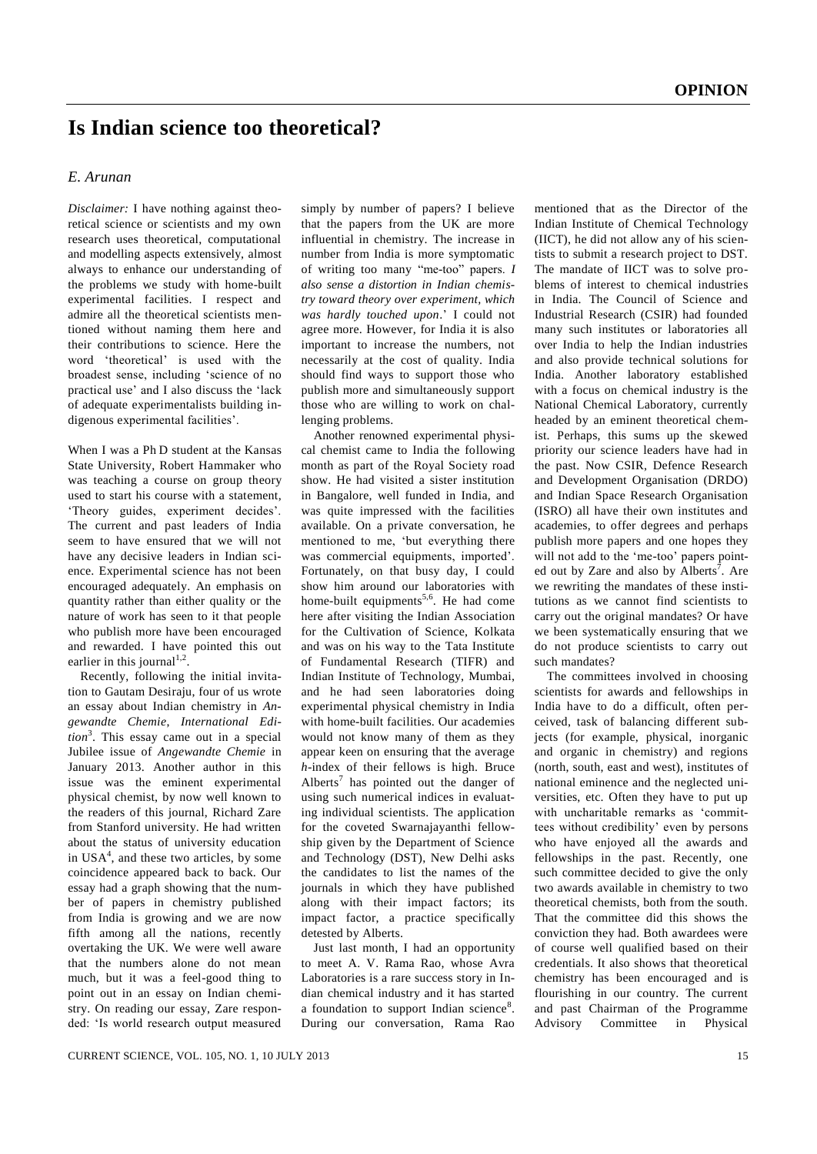## **Is Indian science too theoretical?**

## *E. Arunan*

*Disclaimer:* I have nothing against theoretical science or scientists and my own research uses theoretical, computational and modelling aspects extensively, almost always to enhance our understanding of the problems we study with home-built experimental facilities. I respect and admire all the theoretical scientists mentioned without naming them here and their contributions to science. Here the word 'theoretical' is used with the broadest sense, including 'science of no practical use' and I also discuss the 'lack of adequate experimentalists building indigenous experimental facilities'.

When I was a Ph D student at the Kansas State University, Robert Hammaker who was teaching a course on group theory used to start his course with a statement, 'Theory guides, experiment decides'. The current and past leaders of India seem to have ensured that we will not have any decisive leaders in Indian science. Experimental science has not been encouraged adequately. An emphasis on quantity rather than either quality or the nature of work has seen to it that people who publish more have been encouraged and rewarded. I have pointed this out earlier in this journal<sup>1,2</sup>.

Recently, following the initial invitation to Gautam Desiraju, four of us wrote an essay about Indian chemistry in *Angewandte Chemie*, *International Edition*<sup>3</sup> . This essay came out in a special Jubilee issue of *Angewandte Chemie* in January 2013. Another author in this issue was the eminent experimental physical chemist, by now well known to the readers of this journal, Richard Zare from Stanford university. He had written about the status of university education in USA<sup>4</sup>, and these two articles, by some coincidence appeared back to back. Our essay had a graph showing that the number of papers in chemistry published from India is growing and we are now fifth among all the nations, recently overtaking the UK. We were well aware that the numbers alone do not mean much, but it was a feel-good thing to point out in an essay on Indian chemistry. On reading our essay, Zare responded: 'Is world research output measured

simply by number of papers? I believe that the papers from the UK are more influential in chemistry. The increase in number from India is more symptomatic of writing too many "me-too" papers. *I also sense a distortion in Indian chemistry toward theory over experiment, which was hardly touched upon*.' I could not agree more. However, for India it is also important to increase the numbers, not necessarily at the cost of quality. India should find ways to support those who publish more and simultaneously support those who are willing to work on challenging problems.

Another renowned experimental physical chemist came to India the following month as part of the Royal Society road show. He had visited a sister institution in Bangalore, well funded in India, and was quite impressed with the facilities available. On a private conversation, he mentioned to me, 'but everything there was commercial equipments, imported'. Fortunately, on that busy day, I could show him around our laboratories with home-built equipments<sup>5,6</sup>. He had come here after visiting the Indian Association for the Cultivation of Science, Kolkata and was on his way to the Tata Institute of Fundamental Research (TIFR) and Indian Institute of Technology, Mumbai, and he had seen laboratories doing experimental physical chemistry in India with home-built facilities. Our academies would not know many of them as they appear keen on ensuring that the average *h*-index of their fellows is high. Bruce Alberts<sup>7</sup> has pointed out the danger of using such numerical indices in evaluating individual scientists. The application for the coveted Swarnajayanthi fellowship given by the Department of Science and Technology (DST), New Delhi asks the candidates to list the names of the journals in which they have published along with their impact factors; its impact factor, a practice specifically detested by Alberts.

Just last month, I had an opportunity to meet A. V. Rama Rao, whose Avra Laboratories is a rare success story in Indian chemical industry and it has started a foundation to support Indian science<sup>8</sup>. During our conversation, Rama Rao

mentioned that as the Director of the Indian Institute of Chemical Technology (IICT), he did not allow any of his scientists to submit a research project to DST. The mandate of IICT was to solve problems of interest to chemical industries in India. The Council of Science and Industrial Research (CSIR) had founded many such institutes or laboratories all over India to help the Indian industries and also provide technical solutions for India. Another laboratory established with a focus on chemical industry is the National Chemical Laboratory, currently headed by an eminent theoretical chemist. Perhaps, this sums up the skewed priority our science leaders have had in the past. Now CSIR, Defence Research and Development Organisation (DRDO) and Indian Space Research Organisation (ISRO) all have their own institutes and academies, to offer degrees and perhaps publish more papers and one hopes they will not add to the 'me-too' papers pointed out by Zare and also by Alberts<sup>7</sup>. Are we rewriting the mandates of these institutions as we cannot find scientists to carry out the original mandates? Or have we been systematically ensuring that we do not produce scientists to carry out such mandates?

The committees involved in choosing scientists for awards and fellowships in India have to do a difficult, often perceived, task of balancing different subjects (for example, physical, inorganic and organic in chemistry) and regions (north, south, east and west), institutes of national eminence and the neglected universities, etc. Often they have to put up with uncharitable remarks as 'committees without credibility' even by persons who have enjoyed all the awards and fellowships in the past. Recently, one such committee decided to give the only two awards available in chemistry to two theoretical chemists, both from the south. That the committee did this shows the conviction they had. Both awardees were of course well qualified based on their credentials. It also shows that theoretical chemistry has been encouraged and is flourishing in our country. The current and past Chairman of the Programme Advisory Committee in Physical